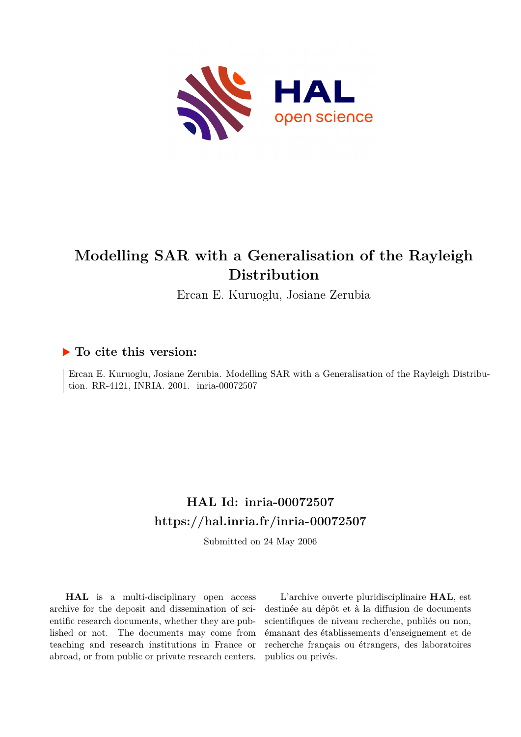

## **Modelling SAR with a Generalisation of the Rayleigh Distribution**

Ercan E. Kuruoglu, Josiane Zerubia

### **To cite this version:**

Ercan E. Kuruoglu, Josiane Zerubia. Modelling SAR with a Generalisation of the Rayleigh Distribution. RR-4121, INRIA. 2001. inria-00072507

## **HAL Id: inria-00072507 <https://hal.inria.fr/inria-00072507>**

Submitted on 24 May 2006

**HAL** is a multi-disciplinary open access archive for the deposit and dissemination of scientific research documents, whether they are published or not. The documents may come from teaching and research institutions in France or abroad, or from public or private research centers.

L'archive ouverte pluridisciplinaire **HAL**, est destinée au dépôt et à la diffusion de documents scientifiques de niveau recherche, publiés ou non, émanant des établissements d'enseignement et de recherche français ou étrangers, des laboratoires publics ou privés.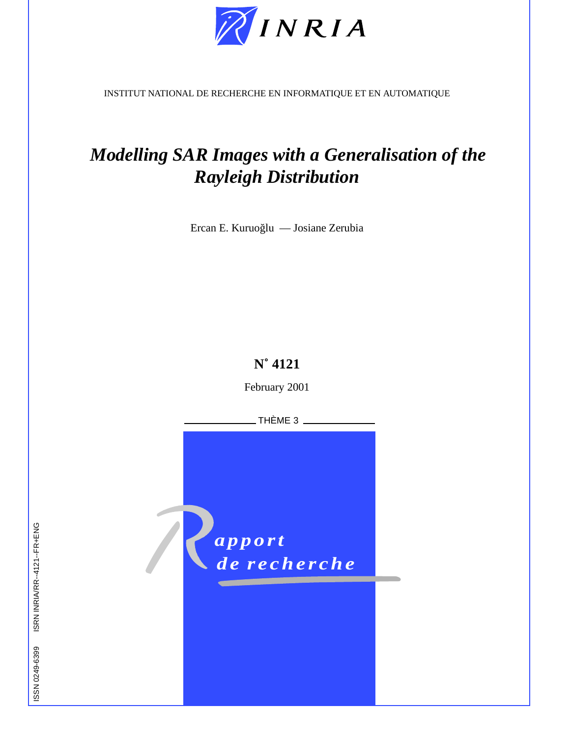

INSTITUT NATIONAL DE RECHERCHE EN INFORMATIQUE ET EN AUTOMATIQUE

# *Modelling SAR Images with a Generalisation of the Rayleigh Distribution*

Ercan E. Kuruoğlu — Josiane Zerubia

### **N˚ 4121**

February 2001

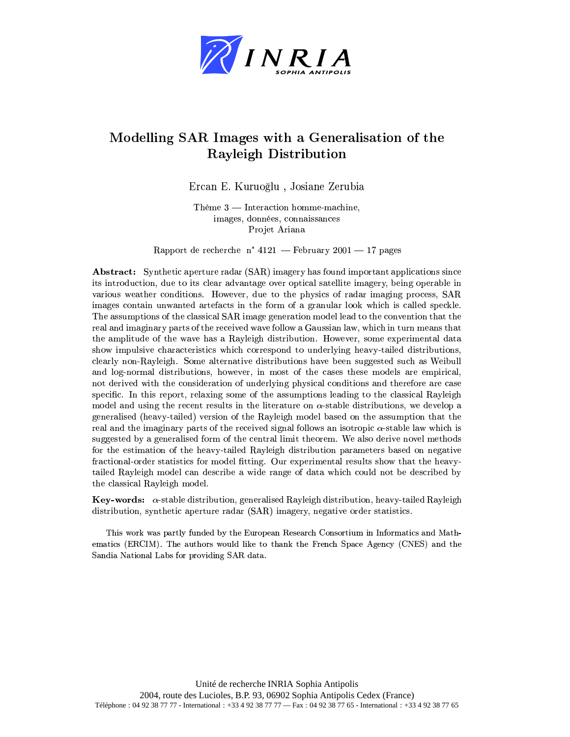

### Modelling SAR Images with a Generalisation of the **Rayleigh Distribution**

Ercan E. Kuruoğlu, Josiane Zerubia

Thème  $3$  — Interaction homme-machine. images, données, connaissances Projet Ariana

Rapport de recherche n° 4121 - February 2001 - 17 pages

**Abstract:** Synthetic aperture radar (SAR) imagery has found important applications since its introduction, due to its clear advantage over optical satellite imagery, being operable in various weather conditions. However, due to the physics of radar imaging process, SAR images contain unwanted artefacts in the form of a granular look which is called speckle. The assumptions of the classical SAR image generation model lead to the convention that the real and imaginary parts of the received wave follow a Gaussian law, which in turn means that the amplitude of the wave has a Rayleigh distribution. However, some experimental data show impulsive characteristics which correspond to underlying heavy-tailed distributions, clearly non-Rayleigh. Some alternative distributions have been suggested such as Weibull and log-normal distributions, however, in most of the cases these models are empirical, not derived with the consideration of underlying physical conditions and therefore are case specific. In this report, relaxing some of the assumptions leading to the classical Rayleigh model and using the recent results in the literature on  $\alpha$ -stable distributions, we develop a generalised (heavy-tailed) version of the Rayleigh model based on the assumption that the real and the imaginary parts of the received signal follows an isotropic  $\alpha$ -stable law which is suggested by a generalised form of the central limit theorem. We also derive novel methods for the estimation of the heavy-tailed Rayleigh distribution parameters based on negative fractional-order statistics for model fitting. Our experimental results show that the heavytailed Rayleigh model can describe a wide range of data which could not be described by the classical Rayleigh model.

**Key-words:**  $\alpha$ -stable distribution, generalised Rayleigh distribution, heavy-tailed Rayleigh distribution, synthetic aperture radar (SAR) imagery, negative order statistics.

This work was partly funded by the European Research Consortium in Informatics and Mathematics (ERCIM). The authors would like to thank the French Space Agency (CNES) and the Sandia National Labs for providing SAR data.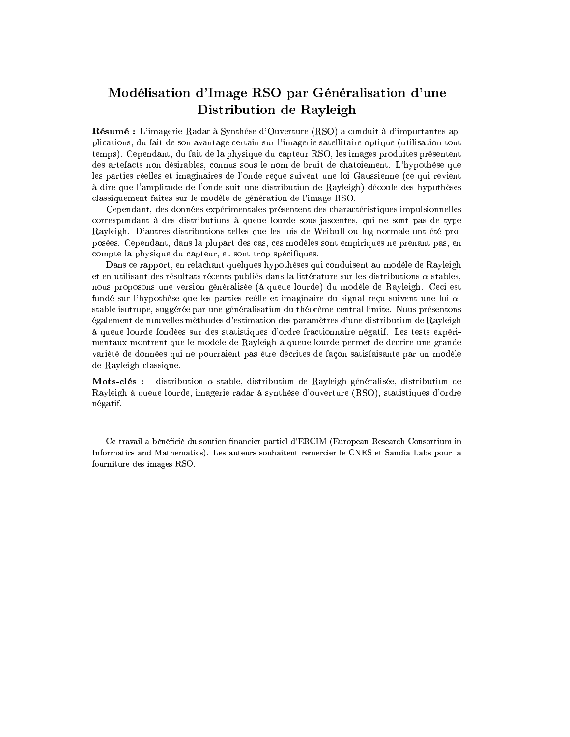### Modélisation d'Image RSO par Généralisation d'une Distribution de Rayleigh

Résumé : L'imagerie Radar à Synthése d'Ouverture (RSO) a conduit à d'importantes applications, du fait de son avantage certain sur l'imagerie satellitaire optique (utilisation tout temps). Cependant, du fait de la physique du capteur RSO, les images produites présentent des artefacts non désirables, connus sous le nom de bruit de chatoiement. L'hypothèse que les parties réelles et imaginaires de l'onde recue suivent une loi Gaussienne (ce qui revient à dire que l'amplitude de l'onde suit une distribution de Rayleigh) découle des hypothèses classiquement faites sur le modèle de génération de l'image RSO.

Cependant, des données expérimentales présentent des charactéristiques impulsionnelles correspondant à des distributions à queue lourde sous-jascentes, qui ne sont pas de type Rayleigh. D'autres distributions telles que les lois de Weibull ou log-normale ont été proposées. Cependant, dans la plupart des cas, ces modèles sont empiriques ne prenant pas, en compte la physique du capteur, et sont trop spécifiques.

Dans ce rapport, en relachant quelques hypothèses qui conduisent au modèle de Rayleigh et en utilisant des résultats récents publiés dans la littérature sur les distributions  $\alpha$ -stables, nous proposons une version généralisée (à queue lourde) du modèle de Rayleigh. Ceci est fondé sur l'hypothèse que les parties reélle et imaginaire du signal reçu suivent une loi  $\alpha$ stable isotrope, suggérée par une généralisation du théorème central limite. Nous présentons également de nouvelles mèthodes d'estimation des paramètres d'une distribution de Rayleigh à queue lourde fondées sur des statistiques d'ordre fractionnaire négatif. Les tests expérimentaux montrent que le modèle de Rayleigh à queue lourde permet de décrire une grande variété de données qui ne pourraient pas être décrites de façon satisfaisante par un modèle de Ravleigh classique.

distribution  $\alpha$ -stable, distribution de Rayleigh généralisée, distribution de Mots-clés : Rayleigh à queue lourde, imagerie radar à synthèse d'ouverture (RSO), statistiques d'ordre négatif.

Ce travail a bénéficié du soutien financier partiel d'ERCIM (European Research Consortium in Informatics and Mathematics). Les auteurs souhaitent remercier le CNES et Sandia Labs pour la fourniture des images RSO.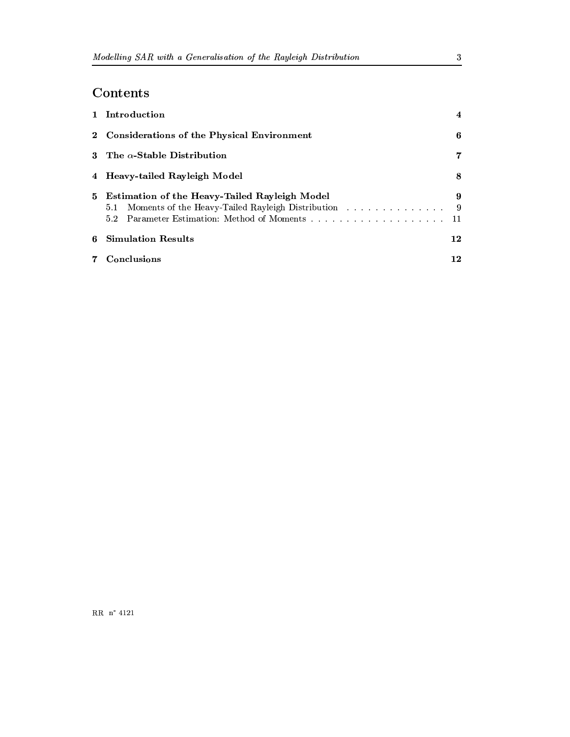### Contents

|       | 1 Introduction                                                                                                  | $\overline{\bf{4}}$ |
|-------|-----------------------------------------------------------------------------------------------------------------|---------------------|
|       | 2 Considerations of the Physical Environment                                                                    | 6                   |
|       | 3 The $\alpha$ -Stable Distribution                                                                             | 7                   |
|       | 4 Heavy-tailed Rayleigh Model                                                                                   | 8                   |
|       | 5 Estimation of the Heavy-Tailed Rayleigh Model<br>5.1 Moments of the Heavy-Tailed Rayleigh Distribution<br>5.2 | 9<br>- 9            |
| 6     | <b>Simulation Results</b>                                                                                       | 12                  |
| $7 -$ | Conclusions                                                                                                     | 12                  |

 $\sqrt{3}$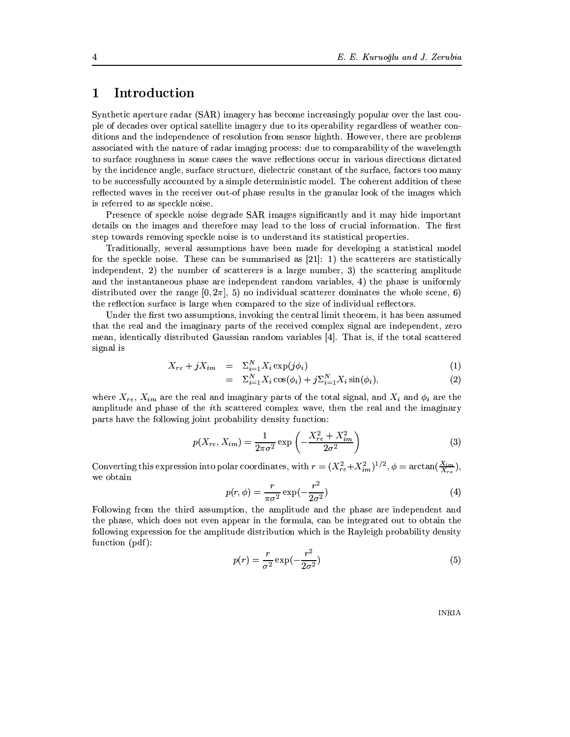#### Introduction  $\mathbf{1}$

Synthetic aperture radar (SAR) imagery has become increasingly popular over the last couple of decades over optical satellite imagery due to its operability regardless of weather conditions and the independence of resolution from sensor highth. However, there are problems associated with the nature of radar imaging process: due to comparability of the wavelength to surface roughness in some cases the wave reflections occur in various directions dictated by the incidence angle, surface structure, dielectric constant of the surface, factors too many to be successfully accounted by a simple deterministic model. The coherent addition of these reflected waves in the receiver out-of phase results in the granular look of the images which is referred to as speckle noise.

Presence of speckle noise degrade SAR images significantly and it may hide important details on the images and therefore may lead to the loss of crucial information. The first step towards removing speckle noise is to understand its statistical properties.

Traditionally, several assumptions have been made for developing a statistical model for the speckle noise. These can be summarised as  $[21]$ : 1) the scatterers are statistically independent, 2) the number of scatterers is a large number, 3) the scattering amplitude and the instantaneous phase are independent random variables, 4) the phase is uniformly distributed over the range  $[0, 2\pi]$ , 5) no individual scatterer dominates the whole scene, 6) the reflection surface is large when compared to the size of individual reflectors.

Under the first two assumptions, invoking the central limit theorem, it has been assumed that the real and the imaginary parts of the received complex signal are independent, zero mean, identically distributed Gaussian random variables [4]. That is, if the total scattered signal is

$$
X_{re} + jX_{im} = \Sigma_{i=1}^{N} X_i \exp(j\phi_i)
$$
 (1)

$$
= \Sigma_{i=1}^N X_i \cos(\phi_i) + j \Sigma_{i=1}^N X_i \sin(\phi_i), \qquad (2)
$$

where  $X_{re}$ ,  $X_{im}$  are the real and imaginary parts of the total signal, and  $X_i$  and  $\phi_i$  are the amplitude and phase of the *i*th scattered complex wave, then the real and the imaginary parts have the following joint probability density function:

$$
p(X_{re}, X_{im}) = \frac{1}{2\pi\sigma^2} \exp\left(-\frac{X_{re}^2 + X_{im}^2}{2\sigma^2}\right)
$$
 (3)

Converting this expression into polar coordinates, with  $r = (X_{re}^2 + X_{im}^2)^{1/2}, \phi = \arctan(\frac{X_{im}}{X_{re}})$ , we obtain

$$
p(r,\phi) = \frac{r}{\pi\sigma^2} \exp(-\frac{r^2}{2\sigma^2})
$$
\n(4)

Following from the third assumption, the amplitude and the phase are independent and the phase, which does not even appear in the formula, can be integrated out to obtain the following expression for the amplitude distribution which is the Rayleigh probability density function (pdf):

$$
p(r) = \frac{r}{\sigma^2} \exp\left(-\frac{r^2}{2\sigma^2}\right) \tag{5}
$$

**INRIA**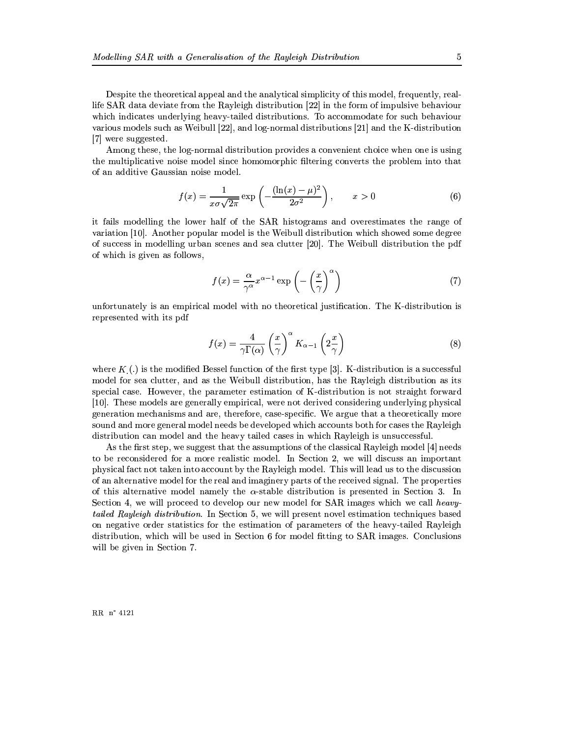Despite the theoretical appeal and the analytical simplicity of this model, frequently, reallife SAR data deviate from the Rayleigh distribution [22] in the form of impulsive behaviour which indicates underlying heavy-tailed distributions. To accommodate for such behaviour various models such as Weibull [22], and log-normal distributions [21] and the K-distribution [7] were suggested.

Among these, the log-normal distribution provides a convenient choice when one is using the multiplicative noise model since homomorphic filtering converts the problem into that of an additive Gaussian noise model.

$$
f(x) = \frac{1}{x\sigma\sqrt{2\pi}} \exp\left(-\frac{(\ln(x) - \mu)^2}{2\sigma^2}\right), \qquad x > 0
$$
 (6)

it fails modelling the lower half of the SAR histograms and overestimates the range of variation [10]. Another popular model is the Weibull distribution which showed some degree of success in modelling urban scenes and sea clutter [20]. The Weibull distribution the pdf of which is given as follows,

$$
f(x) = \frac{\alpha}{\gamma^{\alpha}} x^{\alpha - 1} \exp\left(-\left(\frac{x}{\gamma}\right)^{\alpha}\right)
$$
 (7)

unfortunately is an empirical model with no theoretical justification. The K-distribution is represented with its pdf

$$
f(x) = \frac{4}{\gamma \Gamma(\alpha)} \left(\frac{x}{\gamma}\right)^{\alpha} K_{\alpha - 1} \left(2\frac{x}{\gamma}\right)
$$
 (8)

where  $K(.)$  is the modified Bessel function of the first type [3]. K-distribution is a successful model for sea clutter, and as the Weibull distribution, has the Rayleigh distribution as its special case. However, the parameter estimation of K-distribution is not straight forward [10]. These models are generally empirical, were not derived considering underlying physical generation mechanisms and are, therefore, case-specific. We argue that a theoretically more sound and more general model needs be developed which accounts both for cases the Rayleigh distribution can model and the heavy tailed cases in which Rayleigh is unsuccessful.

As the first step, we suggest that the assumptions of the classical Rayleigh model [4] needs to be reconsidered for a more realistic model. In Section 2, we will discuss an important physical fact not taken into account by the Rayleigh model. This will lead us to the discussion of an alternative model for the real and imaginery parts of the received signal. The properties of this alternative model namely the  $\alpha$ -stable distribution is presented in Section 3. In Section 4, we will proceed to develop our new model for SAR images which we call heavytailed Rayleigh distribution. In Section 5, we will present novel estimation techniques based on negative order statistics for the estimation of parameters of the heavy-tailed Rayleigh distribution, which will be used in Section 6 for model fitting to SAR images. Conclusions will be given in Section 7.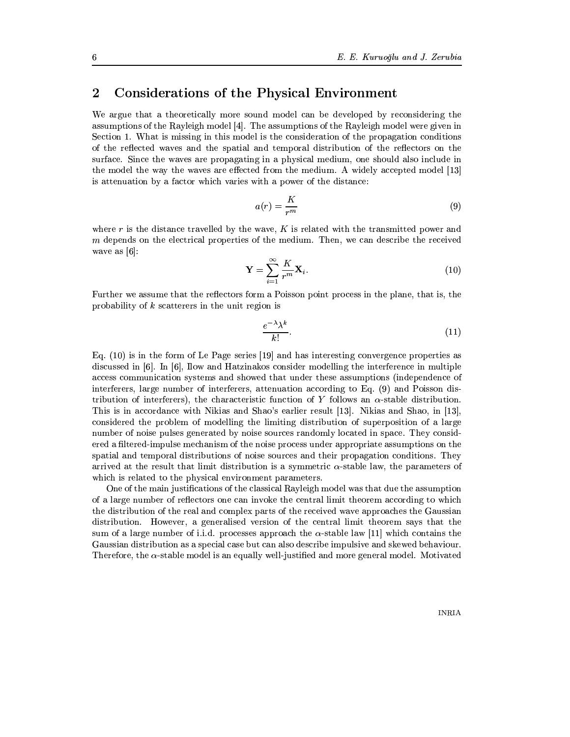#### $\overline{2}$ **Considerations of the Physical Environment**

We argue that a theoretically more sound model can be developed by reconsidering the assumptions of the Rayleigh model [4]. The assumptions of the Rayleigh model were given in Section 1. What is missing in this model is the consideration of the propagation conditions of the reflected waves and the spatial and temporal distribution of the reflectors on the surface. Since the waves are propagating in a physical medium, one should also include in the model the way the waves are effected from the medium. A widely accepted model [13] is attenuation by a factor which varies with a power of the distance:

$$
a(r) = \frac{K}{r^m} \tag{9}
$$

where r is the distance travelled by the wave, K is related with the transmitted power and  $m$  depends on the electrical properties of the medium. Then, we can describe the received wave as  $[6]$ :

$$
\mathbf{Y} = \sum_{i=1}^{\infty} \frac{K}{r^m} \mathbf{X}_i.
$$
 (10)

Further we assume that the reflectors form a Poisson point process in the plane, that is, the probability of  $k$  scatterers in the unit region is

$$
\frac{e^{-\lambda}\lambda^k}{k!}.\tag{11}
$$

Eq.  $(10)$  is in the form of Le Page series [19] and has interesting convergence properties as discussed in  $[6]$ . In  $[6]$ , Ilow and Hatzinakos consider modelling the interference in multiple access communication systems and showed that under these assumptions (independence of interferers, large number of interferers, attenuation according to Eq. (9) and Poisson distribution of interferers), the characteristic function of Y follows an  $\alpha$ -stable distribution. This is in accordance with Nikias and Shao's earlier result [13]. Nikias and Shao, in [13], considered the problem of modelling the limiting distribution of superposition of a large number of noise pulses generated by noise sources randomly located in space. They considered a filtered-impulse mechanism of the noise process under appropriate assumptions on the spatial and temporal distributions of noise sources and their propagation conditions. They arrived at the result that limit distribution is a symmetric  $\alpha$ -stable law, the parameters of which is related to the physical environment parameters.

One of the main justifications of the classical Rayleigh model was that due the assumption of a large number of reflectors one can invoke the central limit theorem according to which the distribution of the real and complex parts of the received wave approaches the Gaussian distribution. However, a generalised version of the central limit theorem says that the sum of a large number of i.i.d. processes approach the  $\alpha$ -stable law [11] which contains the Gaussian distribution as a special case but can also describe impulsive and skewed behaviour. Therefore, the  $\alpha$ -stable model is an equally well-justified and more general model. Motivated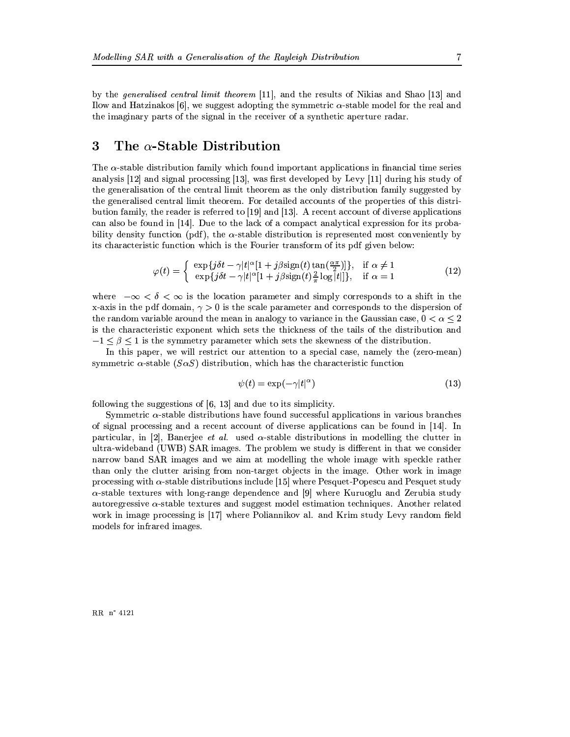by the *generalised central limit theorem* [11], and the results of Nikias and Shao [13] and Ilow and Hatzinakos [6], we suggest adopting the symmetric  $\alpha$ -stable model for the real and the imaginary parts of the signal in the receiver of a synthetic aperture radar.

#### 3 The  $\alpha$ -Stable Distribution

The  $\alpha$ -stable distribution family which found important applications in financial time series analysis [12] and signal processing [13], was first developed by Levy [11] during his study of the generalisation of the central limit theorem as the only distribution family suggested by the generalised central limit theorem. For detailed accounts of the properties of this distribution family, the reader is referred to [19] and [13]. A recent account of diverse applications can also be found in [14]. Due to the lack of a compact analytical expression for its probability density function (pdf), the  $\alpha$ -stable distribution is represented most conveniently by its characteristic function which is the Fourier transform of its pdf given below:

$$
\varphi(t) = \begin{cases} \exp\{j\delta t - \gamma |t|^{\alpha} [1 + j\beta \text{sign}(t) \tan(\frac{\alpha \pi}{2})]\}, & \text{if } \alpha \neq 1\\ \exp\{j\delta t - \gamma |t|^{\alpha} [1 + j\beta \text{sign}(t)\frac{2}{\pi} \log|t|]\}, & \text{if } \alpha = 1 \end{cases}
$$
(12)

where  $-\infty < \delta < \infty$  is the location parameter and simply corresponds to a shift in the x-axis in the pdf domain,  $\gamma > 0$  is the scale parameter and corresponds to the dispersion of the random variable around the mean in analogy to variance in the Gaussian case,  $0 < \alpha < 2$ is the characteristic exponent which sets the thickness of the tails of the distribution and  $-1 \leq \beta \leq 1$  is the symmetry parameter which sets the skewness of the distribution.

In this paper, we will restrict our attention to a special case, namely the (zero-mean) symmetric  $\alpha$ -stable ( $S\alpha S$ ) distribution, which has the characteristic function

$$
\psi(t) = \exp(-\gamma|t|^{\alpha})\tag{13}
$$

following the suggestions of  $[6, 13]$  and due to its simplicity.

Symmetric  $\alpha$ -stable distributions have found successful applications in various branches of signal processing and a recent account of diverse applications can be found in  $[14]$ . In particular, in 2, Banerjee *et al.* used  $\alpha$ -stable distributions in modelling the clutter in ultra-wideband (UWB) SAR images. The problem we study is different in that we consider narrow band SAR images and we aim at modelling the whole image with speckle rather than only the clutter arising from non-target objects in the image. Other work in image processing with  $\alpha$ -stable distributions include [15] where Pesquet-Popescu and Pesquet study  $\alpha$ -stable textures with long-range dependence and [9] where Kuruoglu and Zerubia study autoregressive  $\alpha$ -stable textures and suggest model estimation techniques. Another related work in image processing is [17] where Poliannikov al. and Krim study Levy random field models for infrared images.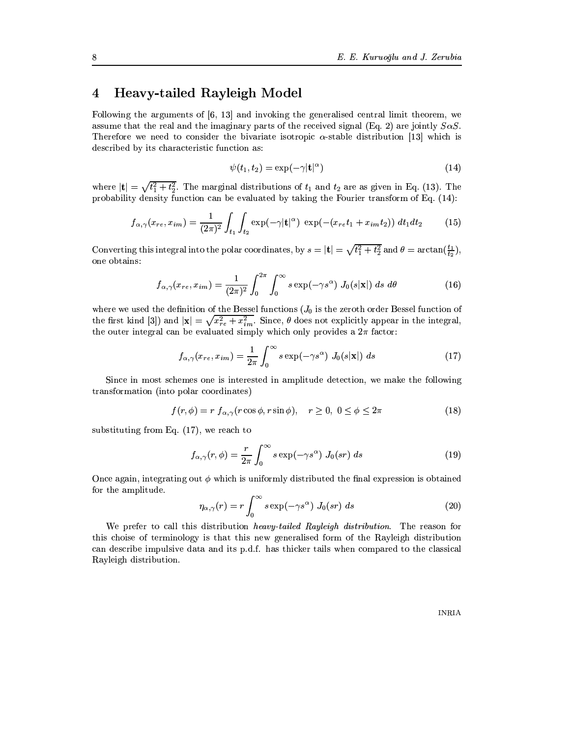#### **Heavy-tailed Rayleigh Model**  $\overline{\mathbf{4}}$

Following the arguments of  $[6, 13]$  and invoking the generalised central limit theorem, we assume that the real and the imaginary parts of the received signal (Eq. 2) are jointly  $S\alpha S$ . Therefore we need to consider the bivariate isotropic  $\alpha$ -stable distribution [13] which is described by its characteristic function as:

$$
\psi(t_1, t_2) = \exp(-\gamma |\mathbf{t}|^{\alpha}) \tag{14}
$$

where  $|\mathbf{t}| = \sqrt{t_1^2 + t_2^2}$ . The marginal distributions of  $t_1$  and  $t_2$  are as given in Eq. (13). The probability density function can be evaluated by taking the Fourier transform of Eq.  $(14)$ :

$$
f_{\alpha,\gamma}(x_{re},x_{im}) = \frac{1}{(2\pi)^2} \int_{t_1} \int_{t_2} \exp(-\gamma |\mathbf{t}|^{\alpha}) \exp(-(x_{re}t_1 + x_{im}t_2)) dt_1 dt_2 \tag{15}
$$

Converting this integral into the polar coordinates, by  $s = |\mathbf{t}| = \sqrt{t_1^2 + t_2^2}$  and  $\theta = \arctan(\frac{t_1}{t_2})$ , one obtains:

$$
f_{\alpha,\gamma}(x_{re}, x_{im}) = \frac{1}{(2\pi)^2} \int_0^{2\pi} \int_0^{\infty} s \exp(-\gamma s^{\alpha}) J_0(s|\mathbf{x}|) ds d\theta \qquad (16)
$$

where we used the definition of the Bessel functions  $(J_0$  is the zeroth order Bessel function of the first kind [3]) and  $|\mathbf{x}| = \sqrt{x_{re}^2 + x_{im}^2}$ . Since,  $\theta$  does not explicitly appear in the integral, the outer integral can be evaluated simply which only provides a  $2\pi$  factor:

$$
f_{\alpha,\gamma}(x_{re}, x_{im}) = \frac{1}{2\pi} \int_0^\infty s \exp(-\gamma s^\alpha) J_0(s|\mathbf{x}|) ds \qquad (17)
$$

Since in most schemes one is interested in amplitude detection, we make the following transformation (into polar coordinates)

$$
f(r,\phi) = r f_{\alpha,\gamma}(r\cos\phi, r\sin\phi), \quad r \ge 0, \ 0 \le \phi \le 2\pi
$$
 (18)

substituting from Eq.  $(17)$ , we reach to

$$
f_{\alpha,\gamma}(r,\phi) = \frac{r}{2\pi} \int_0^\infty s \exp(-\gamma s^\alpha) J_0(sr) ds \qquad (19)
$$

Once again, integrating out  $\phi$  which is uniformly distributed the final expression is obtained for the amplitude.

$$
\eta_{\alpha,\gamma}(r) = r \int_0^\infty s \exp(-\gamma s^\alpha) J_0(sr) ds \qquad (20)
$$

We prefer to call this distribution *heavy-tailed Rayleigh distribution*. The reason for this choise of terminology is that this new generalised form of the Rayleigh distribution can describe impulsive data and its p.d.f. has thicker tails when compared to the classical Rayleigh distribution.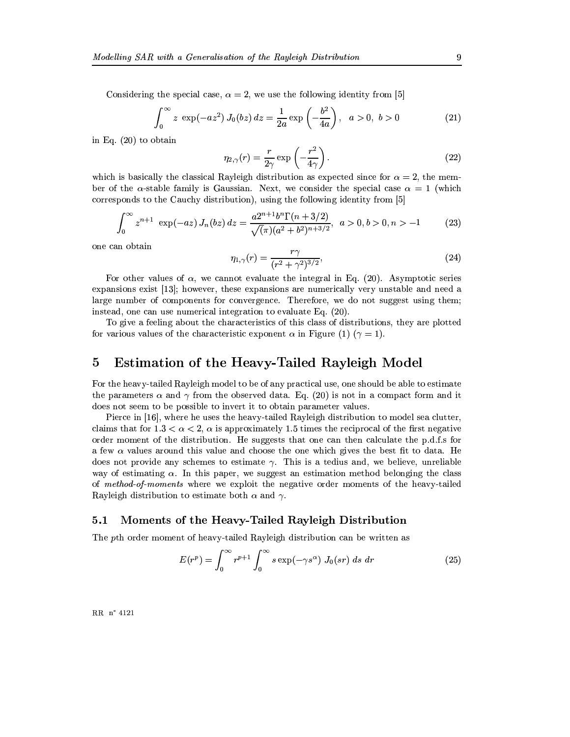Considering the special case,  $\alpha = 2$ , we use the following identity from [5]

$$
\int_0^\infty z \, \exp(-az^2) \, J_0(bz) \, dz = \frac{1}{2a} \exp\left(-\frac{b^2}{4a}\right), \quad a > 0, \quad b > 0 \tag{21}
$$

in Eq.  $(20)$  to obtain

$$
\eta_{2,\gamma}(r) = \frac{r}{2\gamma} \exp\left(-\frac{r^2}{4\gamma}\right). \tag{22}
$$

which is basically the classical Rayleigh distribution as expected since for  $\alpha = 2$ , the member of the  $\alpha$ -stable family is Gaussian. Next, we consider the special case  $\alpha = 1$  (which corresponds to the Cauchy distribution), using the following identity from [5]

$$
\int_0^\infty z^{n+1} \exp(-az) J_n(bz) dz = \frac{a2^{n+1} b^n \Gamma(n+3/2)}{\sqrt{(\pi)} (a^2 + b^2)^{n+3/2}}, \ a > 0, b > 0, n > -1
$$
 (23)

one can obtain

$$
\eta_{1,\gamma}(r) = \frac{r\gamma}{(r^2 + \gamma^2)^{3/2}},\tag{24}
$$

For other values of  $\alpha$ , we cannot evaluate the integral in Eq. (20). Asymptotic series expansions exist [13]; however, these expansions are numerically very unstable and need a large number of components for convergence. Therefore, we do not suggest using them; instead, one can use numerical integration to evaluate Eq. (20).

To give a feeling about the characteristics of this class of distributions, they are plotted for various values of the characteristic exponent  $\alpha$  in Figure (1) ( $\gamma = 1$ ).

#### $\overline{5}$ Estimation of the Heavy-Tailed Rayleigh Model

For the heavy-tailed Rayleigh model to be of any practical use, one should be able to estimate the parameters  $\alpha$  and  $\gamma$  from the observed data. Eq. (20) is not in a compact form and it does not seem to be possible to invert it to obtain parameter values.

Pierce in [16], where he uses the heavy-tailed Rayleigh distribution to model sea clutter. claims that for  $1.3 < \alpha < 2$ ,  $\alpha$  is approximately 1.5 times the reciprocal of the first negative order moment of the distribution. He suggests that one can then calculate the p.d.f.s for a few  $\alpha$  values around this value and choose the one which gives the best fit to data. He does not provide any schemes to estimate  $\gamma$ . This is a tedius and, we believe, unreliable way of estimating  $\alpha$ . In this paper, we suggest an estimation method belonging the class of method-of-moments where we exploit the negative order moments of the heavy-tailed Rayleigh distribution to estimate both  $\alpha$  and  $\gamma$ .

#### $5.1$ Moments of the Heavy-Tailed Rayleigh Distribution

The pth order moment of heavy-tailed Rayleigh distribution can be written as

$$
E(r^{p}) = \int_{0}^{\infty} r^{p+1} \int_{0}^{\infty} s \exp(-\gamma s^{\alpha}) J_{0}(sr) ds dr \qquad (25)
$$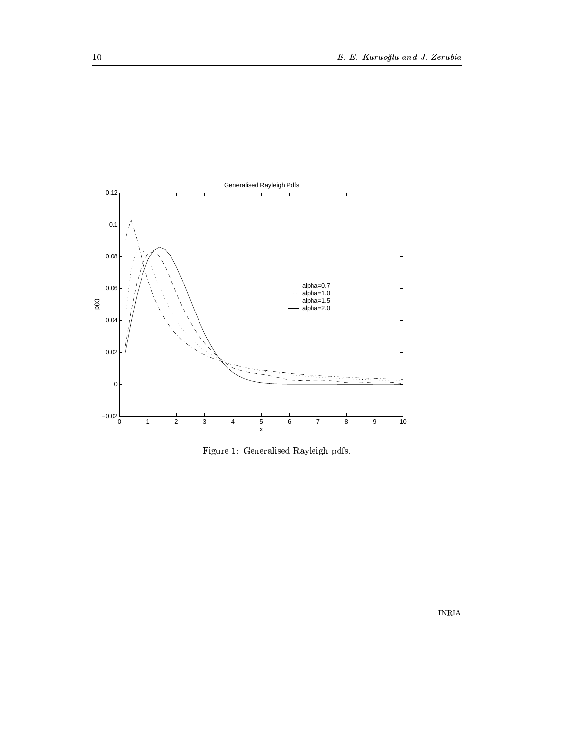

Figure 1: Generalised Rayleigh pdfs.

 $\sf INRIA$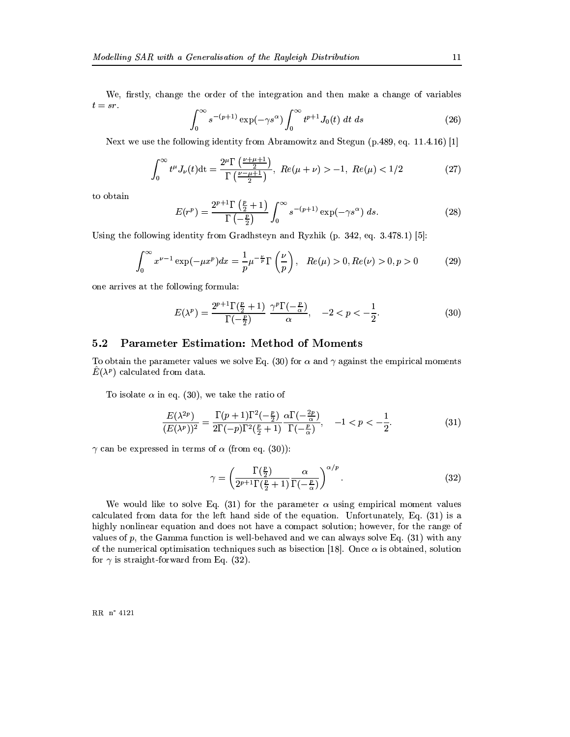We, firstly, change the order of the integration and then make a change of variables  $t = sr.$ 

$$
\int_0^\infty s^{-(p+1)} \exp(-\gamma s^\alpha) \int_0^\infty t^{p+1} J_0(t) dt ds \tag{26}
$$

Next we use the following identity from Abramowitz and Stegun  $(p.489, eq. 11.4.16)$  [1]

$$
\int_0^\infty t^{\mu} J_{\nu}(t) dt = \frac{2^{\mu} \Gamma\left(\frac{\nu + \mu + 1}{2}\right)}{\Gamma\left(\frac{\nu - \mu + 1}{2}\right)}, \ Re(\mu + \nu) > -1, \ Re(\mu) < 1/2 \tag{27}
$$

to obtain

$$
E(r^p) = \frac{2^{p+1}\Gamma\left(\frac{p}{2}+1\right)}{\Gamma\left(-\frac{p}{2}\right)} \int_0^\infty s^{-(p+1)} \exp(-\gamma s^\alpha) \ ds. \tag{28}
$$

Using the following identity from Gradhsteyn and Ryzhik (p. 342, eq. 3.478.1) [5]:

$$
\int_0^\infty x^{\nu-1} \exp(-\mu x^p) dx = \frac{1}{p} \mu^{-\frac{\nu}{p}} \Gamma\left(\frac{\nu}{p}\right), \quad Re(\mu) > 0, Re(\nu) > 0, p > 0 \tag{29}
$$

one arrives at the following formula:

$$
E(\lambda^p) = \frac{2^{p+1}\Gamma(\frac{p}{2}+1)}{\Gamma(-\frac{p}{2})} \frac{\gamma^p \Gamma(-\frac{p}{\alpha})}{\alpha}, \quad -2 < p < -\frac{1}{2}.\tag{30}
$$

#### **Parameter Estimation: Method of Moments**  $5.2$

To obtain the parameter values we solve Eq. (30) for  $\alpha$  and  $\gamma$  against the empirical moments  $E(\lambda^p)$  calculated from data.

To isolate  $\alpha$  in eq. (30), we take the ratio of

$$
\frac{E(\lambda^{2p})}{(E(\lambda^p))^2} = \frac{\Gamma(p+1)\Gamma^2(-\frac{p}{2})}{2\Gamma(-p)\Gamma^2(\frac{p}{2}+1)} \frac{\alpha\Gamma(-\frac{2p}{\alpha})}{\Gamma(-\frac{p}{\alpha})}, \quad -1 < p < -\frac{1}{2}.\tag{31}
$$

 $\gamma$  can be expressed in terms of  $\alpha$  (from eq. (30)):

$$
\gamma = \left(\frac{\Gamma(\frac{p}{2})}{2^{p+1}\Gamma(\frac{p}{2}+1)}\frac{\alpha}{\Gamma(-\frac{p}{\alpha})}\right)^{\alpha/p}.\tag{32}
$$

We would like to solve Eq. (31) for the parameter  $\alpha$  using empirical moment values calculated from data for the left hand side of the equation. Unfortunately, Eq. (31) is a highly nonlinear equation and does not have a compact solution; however, for the range of values of p, the Gamma function is well-behaved and we can always solve Eq.  $(31)$  with any of the numerical optimisation techniques such as bisection [18]. Once  $\alpha$  is obtained, solution for  $\gamma$  is straight-forward from Eq. (32).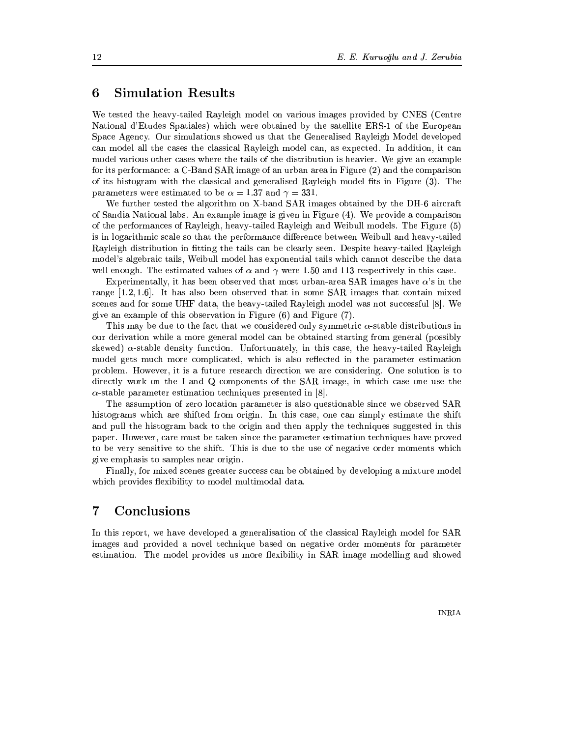#### **Simulation Results** 6

We tested the heavy-tailed Rayleigh model on various images provided by CNES (Centre National d'Etudes Spatiales) which were obtained by the satellite ERS-1 of the European Space Agency. Our simulations showed us that the Generalised Rayleigh Model developed can model all the cases the classical Rayleigh model can, as expected. In addition, it can model various other cases where the tails of the distribution is heavier. We give an example for its performance: a C-Band SAR image of an urban area in Figure (2) and the comparison of its histogram with the classical and generalised Rayleigh model fits in Figure (3). The parameters were estimated to be  $\alpha = 1.37$  and  $\gamma = 331$ .

We further tested the algorithm on X-band SAR images obtained by the DH-6 aircraft of Sandia National labs. An example image is given in Figure (4). We provide a comparison of the performances of Rayleigh, heavy-tailed Rayleigh and Weibull models. The Figure (5) is in logarithmic scale so that the performance difference between Weibull and heavy-tailed Rayleigh distribution in fitting the tails can be clearly seen. Despite heavy-tailed Rayleigh model's algebraic tails, Weibull model has exponential tails which cannot describe the data well enough. The estimated values of  $\alpha$  and  $\gamma$  were 1.50 and 113 respectively in this case.

Experimentally, it has been observed that most urban-area SAR images have  $\alpha$ 's in the range  $[1.2, 1.6]$ . It has also been observed that in some SAR images that contain mixed scenes and for some UHF data, the heavy-tailed Rayleigh model was not successful [8]. We give an example of this observation in Figure  $(6)$  and Figure  $(7)$ .

This may be due to the fact that we considered only symmetric  $\alpha$ -stable distributions in our derivation while a more general model can be obtained starting from general (possibly skewed)  $\alpha$ -stable density function. Unfortunately, in this case, the heavy-tailed Rayleigh model gets much more complicated, which is also reflected in the parameter estimation problem. However, it is a future research direction we are considering. One solution is to directly work on the I and Q components of the SAR image, in which case one use the  $\alpha$ -stable parameter estimation techniques presented in [8].

The assumption of zero location parameter is also questionable since we observed SAR histograms which are shifted from origin. In this case, one can simply estimate the shift and pull the histogram back to the origin and then apply the techniques suggested in this paper. However, care must be taken since the parameter estimation techniques have proved to be very sensitive to the shift. This is due to the use of negative order moments which give emphasis to samples near origin.

Finally, for mixed scenes greater success can be obtained by developing a mixture model which provides flexibility to model multimodal data.

#### $\bf 7$ Conclusions

In this report, we have developed a generalisation of the classical Rayleigh model for SAR images and provided a novel technique based on negative order moments for parameter estimation. The model provides us more flexibility in SAR image modelling and showed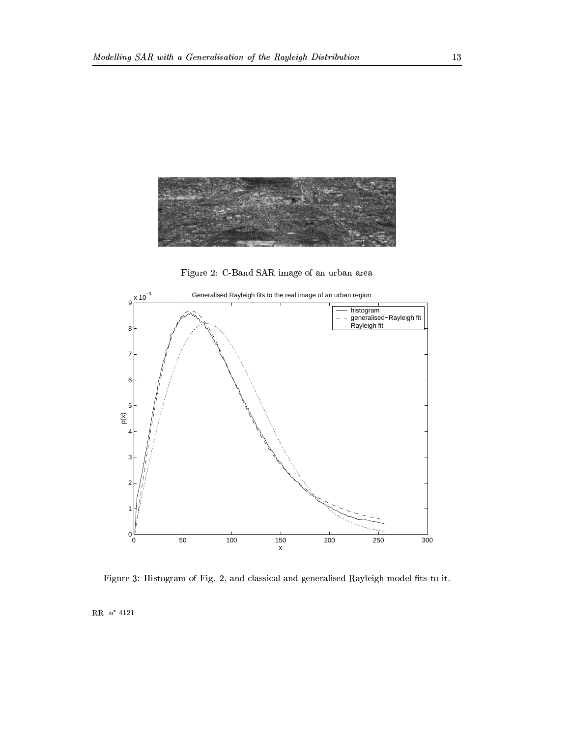

Figure 2: C-Band SAR image of an urban area



Figure 3: Histogram of Fig. 2, and classical and generalised Rayleigh model fits to it.

 $RR \nightharpoonup 4121$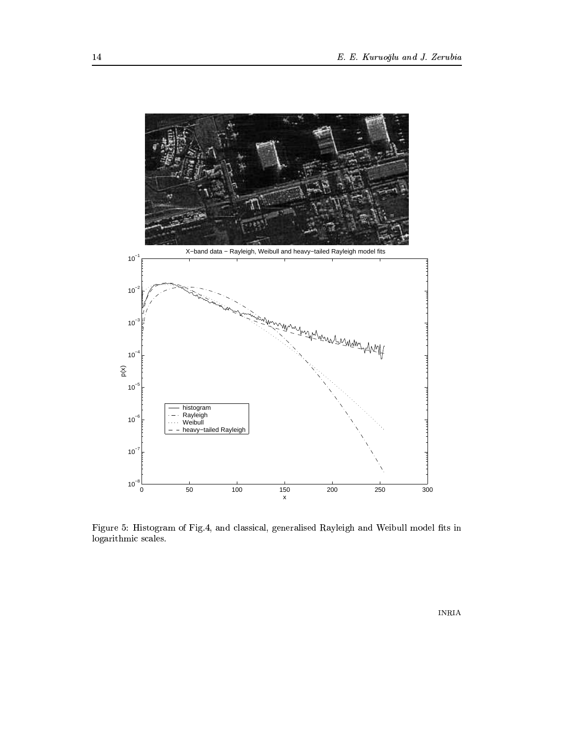

mvastistismus[av=rwtate]istisdizEkovatwa tutisdizEkovatwa tutisdizEkovatwa tutisdizEkovatwa tutisdizEkovatwa tu logarithmic scales.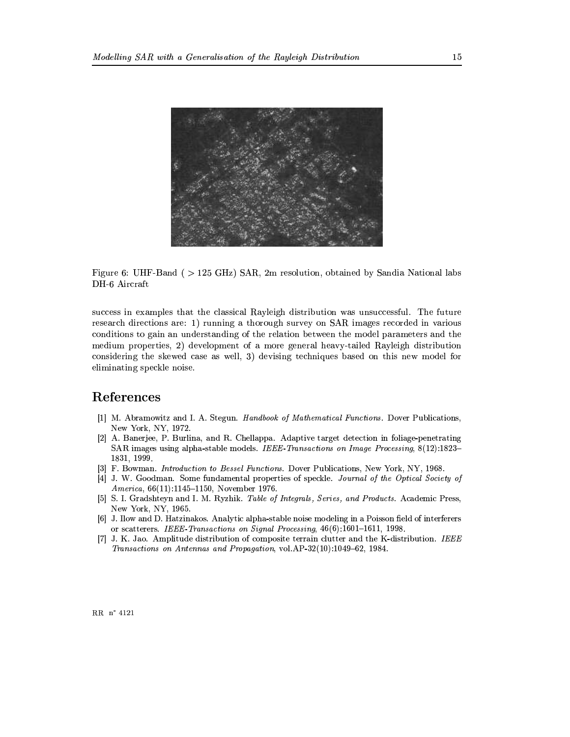

Figure 6: UHF-Band ( > 125 GHz) SAR, 2m resolution, obtained by Sandia National labs DH-6 Aircraft

success in examples that the classical Rayleigh distribution was unsuccessful. The future research directions are: 1) running a thorough survey on SAR images recorded in various conditions to gain an understanding of the relation between the model parameters and the medium properties, 2) development of a more general heavy-tailed Rayleigh distribution considering the skewed case as well, 3) devising techniques based on this new model for eliminating speckle noise.

### References

- [1] M. Abramowitz and I. A. Stegun. Handbook of Mathematical Functions. Dover Publications, New York, NY, 1972.
- [2] A. Banerjee, P. Burlina, and R. Chellappa. Adaptive target detection in foliage-penetrating SAR images using alpha-stable models. IEEE-Transactions on Image Processing, 8(12):1823– 1831, 1999.
- [3] F. Bowman. *Introduction to Bessel Functions*. Dover Publications, New York, NY, 1968.
- [4] J. W. Goodman. Some fundamental properties of speckle. Journal of the Optical Society of America, 66(11):1145-1150, November 1976.
- [5] S. I. Gradshteyn and I. M. Ryzhik. Table of Integrals, Series, and Products. Academic Press, New York, NY, 1965.
- [6] J. Ilow and D. Hatzinakos. Analytic alpha-stable noise modeling in a Poisson field of interferents or scatterers. IEEE-Transactions on Signal Processing, 46(6):1601-1611, 1998.
- [7] J. K. Jao. Amplitude distribution of composite terrain clutter and the K-distribution. IEEE Transactions on Antennas and Propagation, vol.AP-32(10):1049-62, 1984.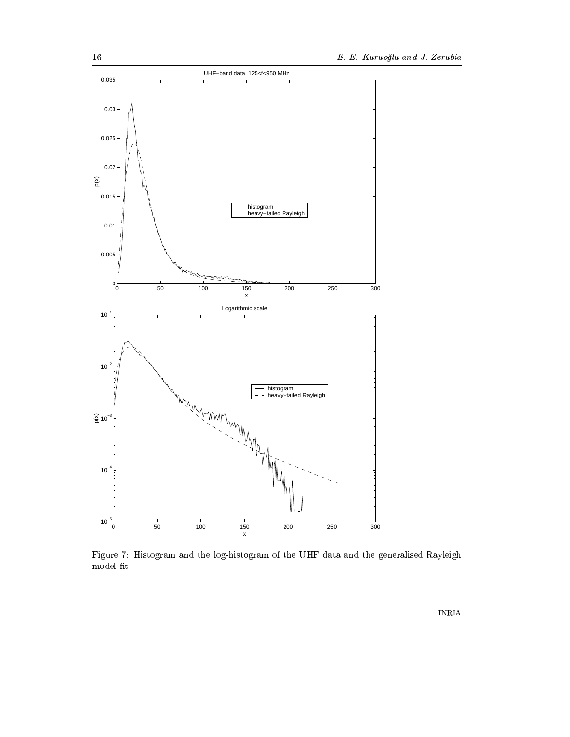

Figure 7: Histogram and the log-histogram of the UHF data and the generalised Rayleigh  $\bmod$ fit

 $\sf INRIA$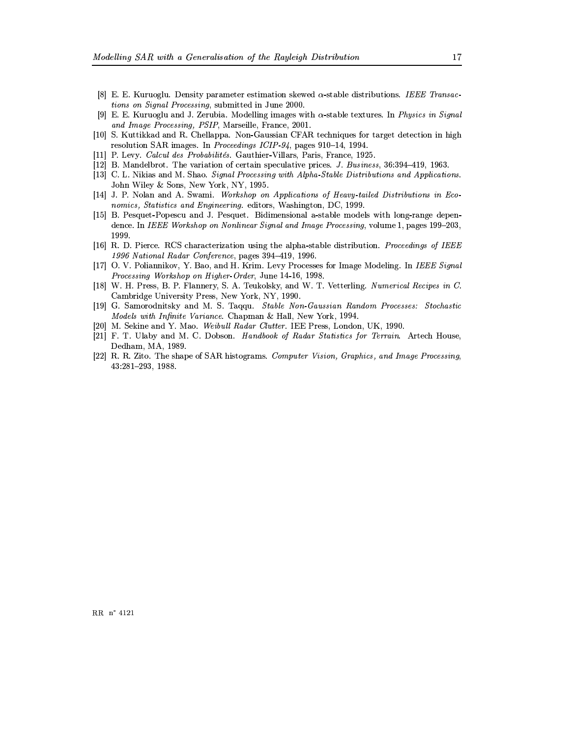- [8] E. E. Kuruoglu. Density parameter estimation skewed  $\alpha$ -stable distributions. IEEE Transactions on Signal Processing, submitted in June 2000.
- [9] E. E. Kuruoglu and J. Zerubia. Modelling images with  $\alpha$ -stable textures. In *Physics in Signal* and Image Processing, PSIP, Marseille, France, 2001.
- [10] S. Kuttikkad and R. Chellappa. Non-Gaussian CFAR techniques for target detection in high resolution SAR images. In Proceedings ICIP 94, pages 910-14, 1994.
- [11] P. Levy. Calcul des Probabilités. Gauthier-Villars, Paris, France, 1925.
- [12] B. Mandelbrot. The variation of certain speculative prices. J. Business, 36:394-419, 1963.
- [13] C. L. Nikias and M. Shao. Signal Processing with Alpha-Stable Distributions and Applications. John Wiley & Sons, New York, NY, 1995.
- [14] J. P. Nolan and A. Swami. Workshop on Applications of Heavy-tailed Distributions in Economics, Statistics and Engineering. editors, Washington, DC, 1999.
- [15] B. Pesquet-Popescu and J. Pesquet. Bidimensional a-stable models with long-range dependence. In IEEE Workshop on Nonlinear Signal and Image Processing, volume 1, pages 199-203, 1999.
- [16] R. D. Pierce. RCS characterization using the alpha-stable distribution. Proceedings of IEEE 1996 National Radar Conference, pages 394-419, 1996.
- [17] O. V. Poliannikov, Y. Bao, and H. Krim. Levy Processes for Image Modeling. In IEEE Signal Processing Workshop on Higher-Order, June 14-16, 1998.
- [18] W. H. Press, B. P. Flannery, S. A. Teukolsky, and W. T. Vetterling. Numerical Recipes in C. Cambridge University Press, New York, NY, 1990.
- [19] G. Samorodnitsky and M. S. Taqqu. Stable Non-Gaussian Random Processes: Stochastic Models with Infinite Variance. Chapman & Hall, New York, 1994.
- [20] M. Sekine and Y. Mao. Weibull Radar Clutter. IEE Press, London, UK, 1990.
- [21] F. T. Ulaby and M. C. Dobson. Handbook of Radar Statistics for Terrain. Artech House, Dedham, MA, 1989.
- [22] R. R. Zito. The shape of SAR histograms. Computer Vision, Graphics, and Image Processing, 43:281-293, 1988.